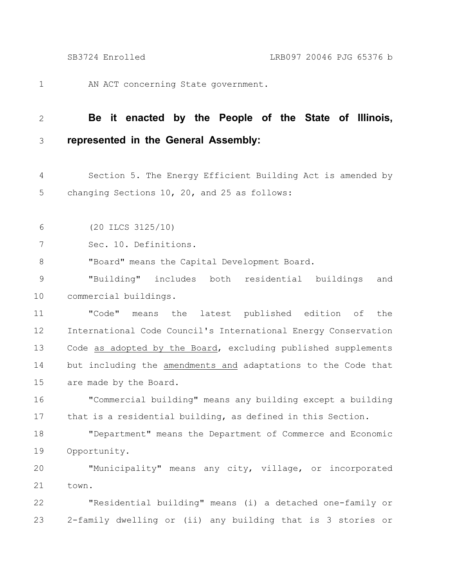AN ACT concerning State government. 1

## **Be it enacted by the People of the State of Illinois, represented in the General Assembly:** 2 3

Section 5. The Energy Efficient Building Act is amended by changing Sections 10, 20, and 25 as follows: 4 5

(20 ILCS 3125/10) 6

Sec. 10. Definitions. 7

"Board" means the Capital Development Board. 8

"Building" includes both residential buildings and commercial buildings. 9 10

"Code" means the latest published edition of the International Code Council's International Energy Conservation Code as adopted by the Board, excluding published supplements but including the amendments and adaptations to the Code that are made by the Board. 11 12 13 14 15

"Commercial building" means any building except a building that is a residential building, as defined in this Section. 16 17

"Department" means the Department of Commerce and Economic Opportunity. 18 19

"Municipality" means any city, village, or incorporated town. 20 21

"Residential building" means (i) a detached one-family or 2-family dwelling or (ii) any building that is 3 stories or 22 23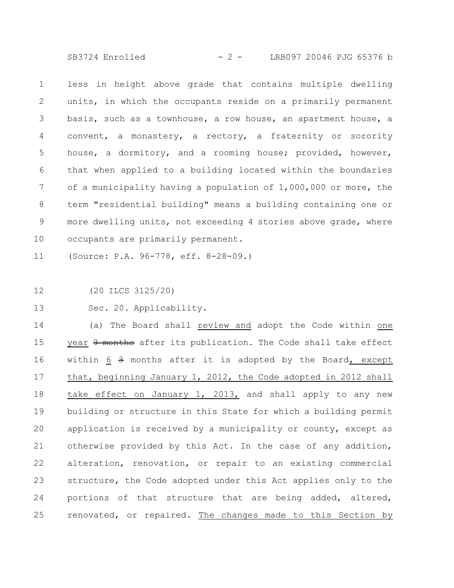SB3724 Enrolled - 2 - LRB097 20046 PJG 65376 b

less in height above grade that contains multiple dwelling units, in which the occupants reside on a primarily permanent basis, such as a townhouse, a row house, an apartment house, a convent, a monastery, a rectory, a fraternity or sorority house, a dormitory, and a rooming house; provided, however, that when applied to a building located within the boundaries of a municipality having a population of 1,000,000 or more, the term "residential building" means a building containing one or more dwelling units, not exceeding 4 stories above grade, where occupants are primarily permanent. 1 2 3 4 5 6 7 8 9 10

(Source: P.A. 96-778, eff. 8-28-09.) 11

(20 ILCS 3125/20) 12

Sec. 20. Applicability. 13

(a) The Board shall review and adopt the Code within one year  $9$  months after its publication. The Code shall take effect within  $6 \frac{3}{7}$  months after it is adopted by the Board, except that, beginning January 1, 2012, the Code adopted in 2012 shall take effect on January 1, 2013, and shall apply to any new building or structure in this State for which a building permit application is received by a municipality or county, except as otherwise provided by this Act. In the case of any addition, alteration, renovation, or repair to an existing commercial structure, the Code adopted under this Act applies only to the portions of that structure that are being added, altered, renovated, or repaired. The changes made to this Section by 14 15 16 17 18 19 20 21 22 23 24 25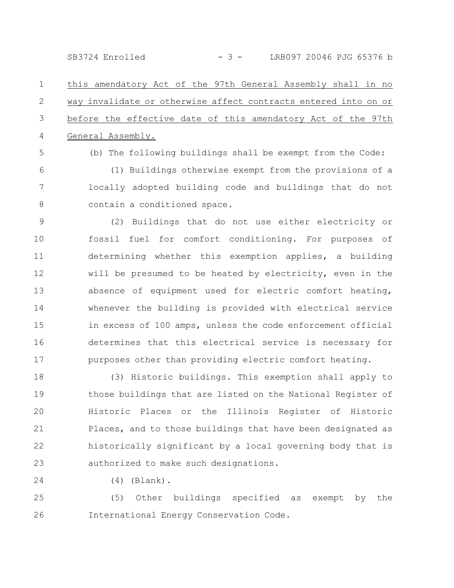SB3724 Enrolled - 3 - LRB097 20046 PJG 65376 b

this amendatory Act of the 97th General Assembly shall in no way invalidate or otherwise affect contracts entered into on or before the effective date of this amendatory Act of the 97th General Assembly. 1 2 3 4

5

6

7

8

(b) The following buildings shall be exempt from the Code: (1) Buildings otherwise exempt from the provisions of a locally adopted building code and buildings that do not contain a conditioned space.

(2) Buildings that do not use either electricity or fossil fuel for comfort conditioning. For purposes of determining whether this exemption applies, a building will be presumed to be heated by electricity, even in the absence of equipment used for electric comfort heating, whenever the building is provided with electrical service in excess of 100 amps, unless the code enforcement official determines that this electrical service is necessary for purposes other than providing electric comfort heating. 9 10 11 12 13 14 15 16 17

(3) Historic buildings. This exemption shall apply to those buildings that are listed on the National Register of Historic Places or the Illinois Register of Historic Places, and to those buildings that have been designated as historically significant by a local governing body that is authorized to make such designations. 18 19 20 21 22 23

(4) (Blank). 24

(5) Other buildings specified as exempt by the International Energy Conservation Code. 25 26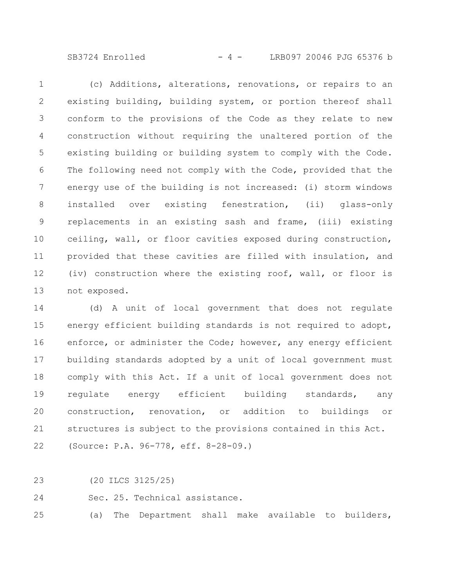SB3724 Enrolled - 4 - LRB097 20046 PJG 65376 b

(c) Additions, alterations, renovations, or repairs to an existing building, building system, or portion thereof shall conform to the provisions of the Code as they relate to new construction without requiring the unaltered portion of the existing building or building system to comply with the Code. The following need not comply with the Code, provided that the energy use of the building is not increased: (i) storm windows installed over existing fenestration, (ii) glass-only replacements in an existing sash and frame, (iii) existing ceiling, wall, or floor cavities exposed during construction, provided that these cavities are filled with insulation, and (iv) construction where the existing roof, wall, or floor is not exposed. 1 2 3 4 5 6 7 8 9 10 11 12 13

(d) A unit of local government that does not regulate energy efficient building standards is not required to adopt, enforce, or administer the Code; however, any energy efficient building standards adopted by a unit of local government must comply with this Act. If a unit of local government does not regulate energy efficient building standards, any construction, renovation, or addition to buildings or structures is subject to the provisions contained in this Act. (Source: P.A. 96-778, eff. 8-28-09.) 14 15 16 17 18 19 20 21 22

(20 ILCS 3125/25) 23

Sec. 25. Technical assistance. 24

(a) The Department shall make available to builders, 25